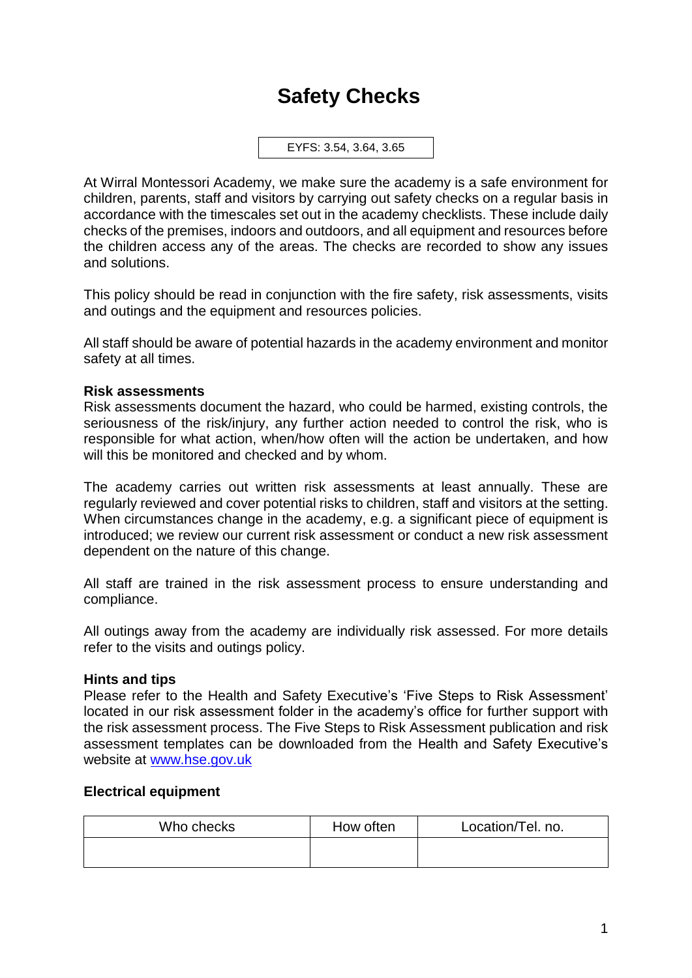# **Safety Checks**

EYFS: 3.54, 3.64, 3.65

At Wirral Montessori Academy, we make sure the academy is a safe environment for children, parents, staff and visitors by carrying out safety checks on a regular basis in accordance with the timescales set out in the academy checklists. These include daily checks of the premises, indoors and outdoors, and all equipment and resources before the children access any of the areas. The checks are recorded to show any issues and solutions.

This policy should be read in conjunction with the fire safety, risk assessments, visits and outings and the equipment and resources policies.

All staff should be aware of potential hazards in the academy environment and monitor safety at all times.

## **Risk assessments**

Risk assessments document the hazard, who could be harmed, existing controls, the seriousness of the risk/injury, any further action needed to control the risk, who is responsible for what action, when/how often will the action be undertaken, and how will this be monitored and checked and by whom.

The academy carries out written risk assessments at least annually. These are regularly reviewed and cover potential risks to children, staff and visitors at the setting. When circumstances change in the academy, e.g. a significant piece of equipment is introduced; we review our current risk assessment or conduct a new risk assessment dependent on the nature of this change.

All staff are trained in the risk assessment process to ensure understanding and compliance.

All outings away from the academy are individually risk assessed. For more details refer to the visits and outings policy.

## **Hints and tips**

Please refer to the Health and Safety Executive's 'Five Steps to Risk Assessment' located in our risk assessment folder in the academy's office for further support with the risk assessment process. The Five Steps to Risk Assessment publication and risk assessment templates can be downloaded from the Health and Safety Executive's website at [www.hse.gov.uk](http://www.hse.gov.uk/)

## **Electrical equipment**

| Who checks | How often | Location/Tel. no. |
|------------|-----------|-------------------|
|            |           |                   |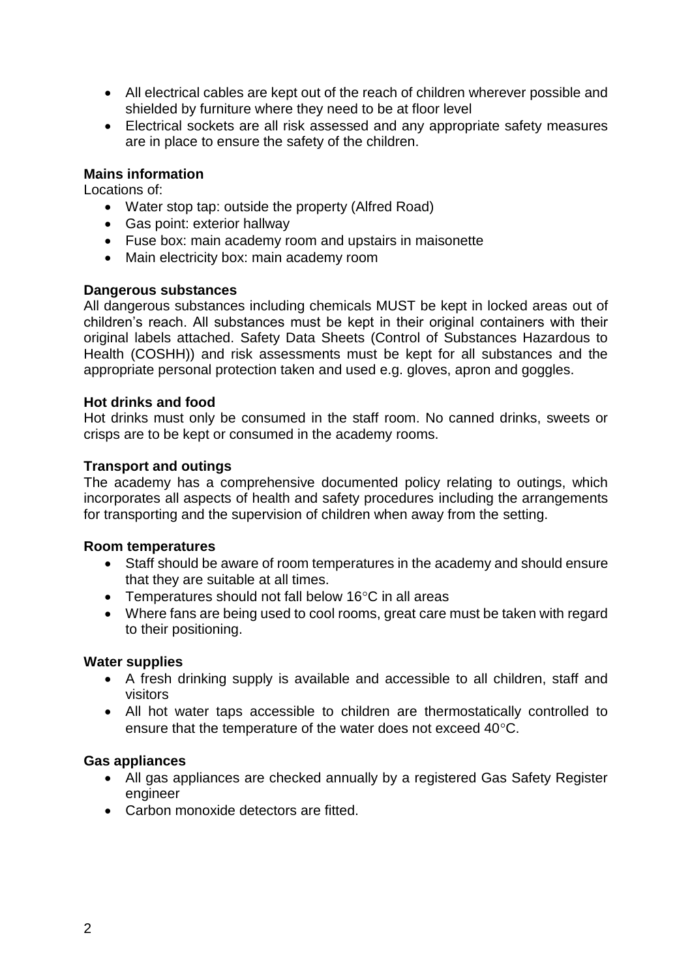- All electrical cables are kept out of the reach of children wherever possible and shielded by furniture where they need to be at floor level
- Electrical sockets are all risk assessed and any appropriate safety measures are in place to ensure the safety of the children.

## **Mains information**

Locations of:

- Water stop tap: outside the property (Alfred Road)
- Gas point: exterior hallway
- Fuse box: main academy room and upstairs in maisonette
- Main electricity box: main academy room

### **Dangerous substances**

All dangerous substances including chemicals MUST be kept in locked areas out of children's reach. All substances must be kept in their original containers with their original labels attached. Safety Data Sheets (Control of Substances Hazardous to Health (COSHH)) and risk assessments must be kept for all substances and the appropriate personal protection taken and used e.g. gloves, apron and goggles.

### **Hot drinks and food**

Hot drinks must only be consumed in the staff room. No canned drinks, sweets or crisps are to be kept or consumed in the academy rooms.

## **Transport and outings**

The academy has a comprehensive documented policy relating to outings, which incorporates all aspects of health and safety procedures including the arrangements for transporting and the supervision of children when away from the setting.

#### **Room temperatures**

- Staff should be aware of room temperatures in the academy and should ensure that they are suitable at all times.
- Temperatures should not fall below 16 $\degree$ C in all areas
- Where fans are being used to cool rooms, great care must be taken with regard to their positioning.

## **Water supplies**

- A fresh drinking supply is available and accessible to all children, staff and visitors
- All hot water taps accessible to children are thermostatically controlled to ensure that the temperature of the water does not exceed 40°C.

## **Gas appliances**

- All gas appliances are checked annually by a registered Gas Safety Register engineer
- Carbon monoxide detectors are fitted.